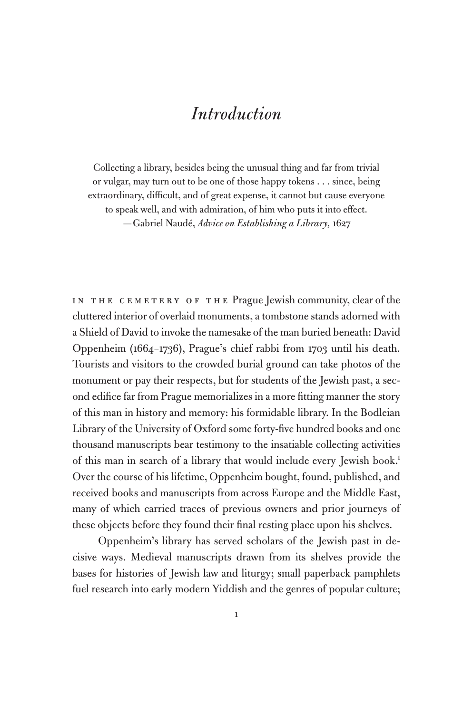## *Introduction*

Collecting a library, besides being the unusual thing and far from trivial or vulgar, may turn out to be one of those happy tokens . . . since, being extraordinary, difficult, and of great expense, it cannot but cause everyone to speak well, and with admiration, of him who puts it into effect. —Gabriel Naudé, *Advice on Establishing a Library,* 1627

IN THE CEMETERY OF THE Prague Jewish community, clear of the cluttered interior of overlaid monuments, a tombstone stands adorned with a Shield of David to invoke the namesake of the man buried beneath: David Oppenheim (1664–1736), Prague's chief rabbi from 1703 until his death. Tourists and visitors to the crowded burial ground can take photos of the monument or pay their respects, but for students of the Jewish past, a second edifice far from Prague memorializes in a more fitting manner the story of this man in history and memory: his formidable library. In the Bodleian Library of the University of Oxford some forty-five hundred books and one thousand manuscripts bear testimony to the insatiable collecting activities of this man in search of a library that would include every Jewish book.<sup>1</sup> Over the course of his lifetime, Oppenheim bought, found, published, and received books and manuscripts from across Europe and the Middle East, many of which carried traces of previous owners and prior journeys of these objects before they found their final resting place upon his shelves.

Oppenheim's library has served scholars of the Jewish past in decisive ways. Medieval manuscripts drawn from its shelves provide the bases for histories of Jewish law and liturgy; small paperback pamphlets fuel research into early modern Yiddish and the genres of popular culture;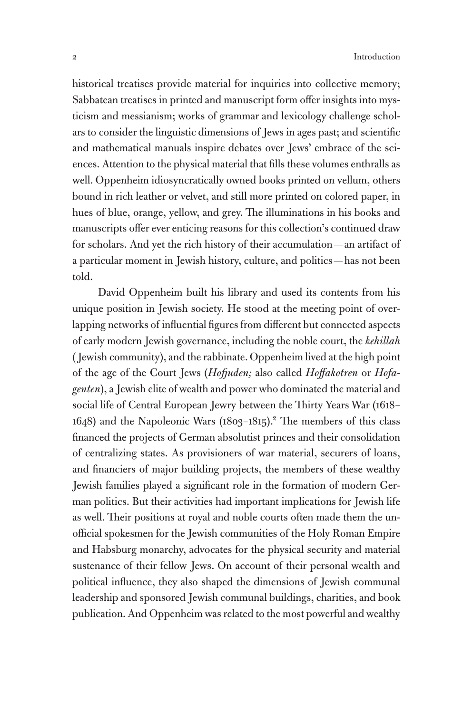historical treatises provide material for inquiries into collective memory; Sabbatean treatises in printed and manuscript form offer insights into mysticism and messianism; works of grammar and lexicology challenge scholars to consider the linguistic dimensions of Jews in ages past; and scientific and mathematical manuals inspire debates over Jews' embrace of the sciences. Attention to the physical material that fills these volumes enthralls as well. Oppenheim idiosyncratically owned books printed on vellum, others bound in rich leather or velvet, and still more printed on colored paper, in hues of blue, orange, yellow, and grey. The illuminations in his books and manuscripts offer ever enticing reasons for this collection's continued draw for scholars. And yet the rich history of their accumulation—an artifact of a particular moment in Jewish history, culture, and politics—has not been told.

David Oppenheim built his library and used its contents from his unique position in Jewish society. He stood at the meeting point of overlapping networks of influential figures from different but connected aspects of early modern Jewish governance, including the noble court, the *kehillah* ( Jewish community), and the rabbinate. Oppenheim lived at the high point of the age of the Court Jews (*Hofjuden;* also called *Hoffakotren* or *Hofagenten*), a Jewish elite of wealth and power who dominated the material and social life of Central European Jewry between the Thirty Years War (1618– 1648) and the Napoleonic Wars  $(1803-1815)^2$ . The members of this class financed the projects of German absolutist princes and their consolidation of centralizing states. As provisioners of war material, securers of loans, and financiers of major building projects, the members of these wealthy Jewish families played a significant role in the formation of modern German politics. But their activities had important implications for Jewish life as well. Their positions at royal and noble courts often made them the unofficial spokesmen for the Jewish communities of the Holy Roman Empire and Habsburg monarchy, advocates for the physical security and material sustenance of their fellow Jews. On account of their personal wealth and political influence, they also shaped the dimensions of Jewish communal leadership and sponsored Jewish communal buildings, charities, and book publication. And Oppenheim was related to the most powerful and wealthy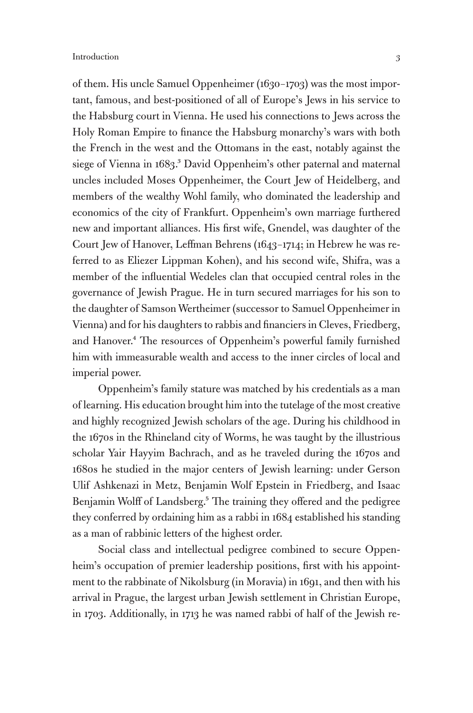of them. His uncle Samuel Oppenheimer (1630–1703) was the most important, famous, and best-positioned of all of Europe's Jews in his service to the Habsburg court in Vienna. He used his connections to Jews across the Holy Roman Empire to finance the Habsburg monarchy's wars with both the French in the west and the Ottomans in the east, notably against the siege of Vienna in 1683.<sup>3</sup> David Oppenheim's other paternal and maternal uncles included Moses Oppenheimer, the Court Jew of Heidelberg, and members of the wealthy Wohl family, who dominated the leadership and economics of the city of Frankfurt. Oppenheim's own marriage furthered new and important alliances. His first wife, Gnendel, was daughter of the Court Jew of Hanover, Leffman Behrens (1643–1714; in Hebrew he was referred to as Eliezer Lippman Kohen), and his second wife, Shifra, was a member of the influential Wedeles clan that occupied central roles in the governance of Jewish Prague. He in turn secured marriages for his son to the daughter of Samson Wertheimer (successor to Samuel Oppenheimer in Vienna) and for his daughters to rabbis and financiers in Cleves, Friedberg, and Hanover.<sup>4</sup> The resources of Oppenheim's powerful family furnished him with immeasurable wealth and access to the inner circles of local and imperial power.

Oppenheim's family stature was matched by his credentials as a man of learning. His education brought him into the tutelage of the most creative and highly recognized Jewish scholars of the age. During his childhood in the 1670s in the Rhineland city of Worms, he was taught by the illustrious scholar Yair Hayyim Bachrach, and as he traveled during the 1670s and 1680s he studied in the major centers of Jewish learning: under Gerson Ulif Ashkenazi in Metz, Benjamin Wolf Epstein in Friedberg, and Isaac Benjamin Wolff of Landsberg.<sup>5</sup> The training they offered and the pedigree they conferred by ordaining him as a rabbi in 1684 established his standing as a man of rabbinic letters of the highest order.

Social class and intellectual pedigree combined to secure Oppenheim's occupation of premier leadership positions, first with his appointment to the rabbinate of Nikolsburg (in Moravia) in 1691, and then with his arrival in Prague, the largest urban Jewish settlement in Christian Europe, in 1703. Additionally, in 1713 he was named rabbi of half of the Jewish re-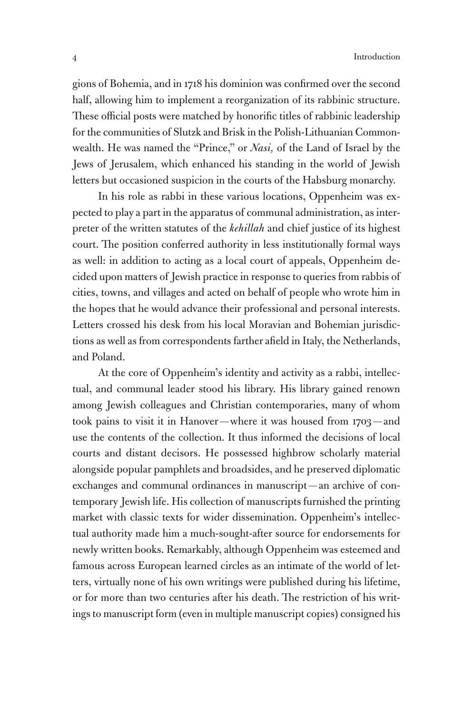gions of Bohemia, and in 1718 his dominion was confirmed over the second half, allowing him to implement a reorganization of its rabbinic structure. These official posts were matched by honorific titles of rabbinic leadership for the communities of Slutzk and Brisk in the Polish-Lithuanian Commonwealth. He was named the "Prince," or *Nasi,* of the Land of Israel by the Jews of Jerusalem, which enhanced his standing in the world of Jewish letters but occasioned suspicion in the courts of the Habsburg monarchy.

In his role as rabbi in these various locations, Oppenheim was expected to play a part in the apparatus of communal administration, as interpreter of the written statutes of the *kehillah* and chief justice of its highest court. The position conferred authority in less institutionally formal ways as well: in addition to acting as a local court of appeals, Oppenheim decided upon matters of Jewish practice in response to queries from rabbis of cities, towns, and villages and acted on behalf of people who wrote him in the hopes that he would advance their professional and personal interests. Letters crossed his desk from his local Moravian and Bohemian jurisdictions as well as from correspondents farther afield in Italy, the Netherlands, and Poland.

At the core of Oppenheim's identity and activity as a rabbi, intellectual, and communal leader stood his library. His library gained renown among Jewish colleagues and Christian contemporaries, many of whom took pains to visit it in Hanover—where it was housed from 1703—and use the contents of the collection. It thus informed the decisions of local courts and distant decisors. He possessed highbrow scholarly material alongside popular pamphlets and broadsides, and he preserved diplomatic exchanges and communal ordinances in manuscript—an archive of contemporary Jewish life. His collection of manuscripts furnished the printing market with classic texts for wider dissemination. Oppenheim's intellectual authority made him a much-sought-after source for endorsements for newly written books. Remarkably, although Oppenheim was esteemed and famous across European learned circles as an intimate of the world of letters, virtually none of his own writings were published during his lifetime, or for more than two centuries after his death. The restriction of his writings to manuscript form (even in multiple manuscript copies) consigned his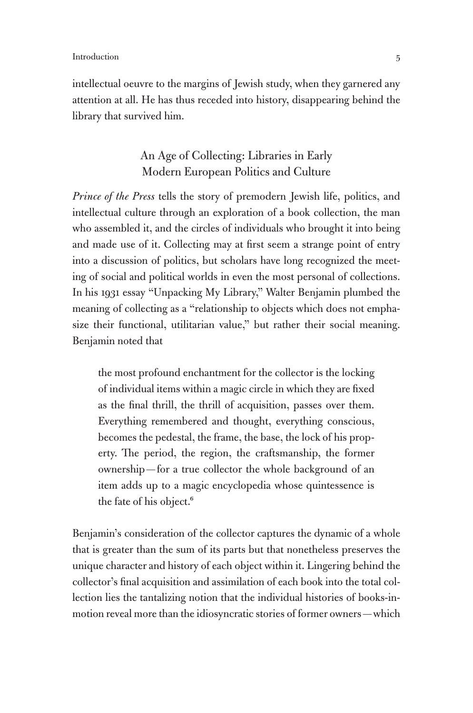intellectual oeuvre to the margins of Jewish study, when they garnered any attention at all. He has thus receded into history, disappearing behind the library that survived him.

## An Age of Collecting: Libraries in Early Modern European Politics and Culture

*Prince of the Press* tells the story of premodern Jewish life, politics, and intellectual culture through an exploration of a book collection, the man who assembled it, and the circles of individuals who brought it into being and made use of it. Collecting may at first seem a strange point of entry into a discussion of politics, but scholars have long recognized the meeting of social and political worlds in even the most personal of collections. In his 1931 essay "Unpacking My Library," Walter Benjamin plumbed the meaning of collecting as a "relationship to objects which does not emphasize their functional, utilitarian value," but rather their social meaning. Benjamin noted that

the most profound enchantment for the collector is the locking of individual items within a magic circle in which they are fixed as the final thrill, the thrill of acquisition, passes over them. Everything remembered and thought, everything conscious, becomes the pedestal, the frame, the base, the lock of his property. The period, the region, the craftsmanship, the former ownership—for a true collector the whole background of an item adds up to a magic encyclopedia whose quintessence is the fate of his object.<sup>6</sup>

Benjamin's consideration of the collector captures the dynamic of a whole that is greater than the sum of its parts but that nonetheless preserves the unique character and history of each object within it. Lingering behind the collector's final acquisition and assimilation of each book into the total collection lies the tantalizing notion that the individual histories of books-inmotion reveal more than the idiosyncratic stories of former owners—which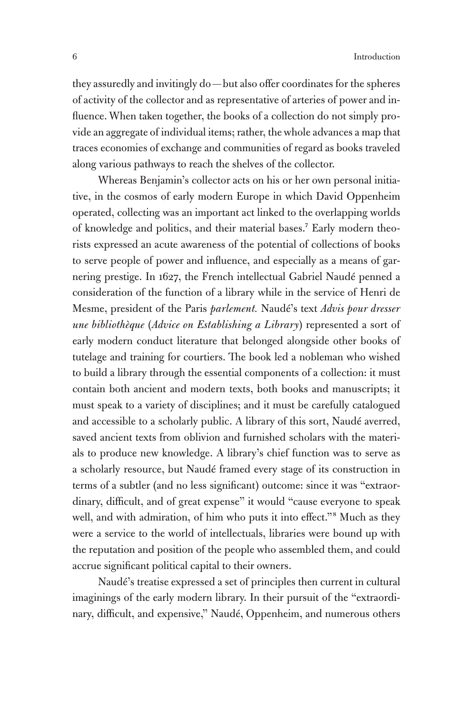they assuredly and invitingly do—but also offer coordinates for the spheres of activity of the collector and as representative of arteries of power and influence. When taken together, the books of a collection do not simply provide an aggregate of individual items; rather, the whole advances a map that traces economies of exchange and communities of regard as books traveled along various pathways to reach the shelves of the collector.

Whereas Benjamin's collector acts on his or her own personal initiative, in the cosmos of early modern Europe in which David Oppenheim operated, collecting was an important act linked to the overlapping worlds of knowledge and politics, and their material bases.<sup>7</sup> Early modern theorists expressed an acute awareness of the potential of collections of books to serve people of power and influence, and especially as a means of garnering prestige. In 1627, the French intellectual Gabriel Naudé penned a consideration of the function of a library while in the service of Henri de Mesme, president of the Paris *parlement.* Naudé's text *Advis pour dresser une bibliothèque* (*Advice on Establishing a Library*) represented a sort of early modern conduct literature that belonged alongside other books of tutelage and training for courtiers. The book led a nobleman who wished to build a library through the essential components of a collection: it must contain both ancient and modern texts, both books and manuscripts; it must speak to a variety of disciplines; and it must be carefully catalogued and accessible to a scholarly public. A library of this sort, Naudé averred, saved ancient texts from oblivion and furnished scholars with the materials to produce new knowledge. A library's chief function was to serve as a scholarly resource, but Naudé framed every stage of its construction in terms of a subtler (and no less significant) outcome: since it was "extraordinary, difficult, and of great expense" it would "cause everyone to speak well, and with admiration, of him who puts it into effect."<sup>8</sup> Much as they were a service to the world of intellectuals, libraries were bound up with the reputation and position of the people who assembled them, and could accrue significant political capital to their owners.

Naudé's treatise expressed a set of principles then current in cultural imaginings of the early modern library. In their pursuit of the "extraordinary, difficult, and expensive," Naudé, Oppenheim, and numerous others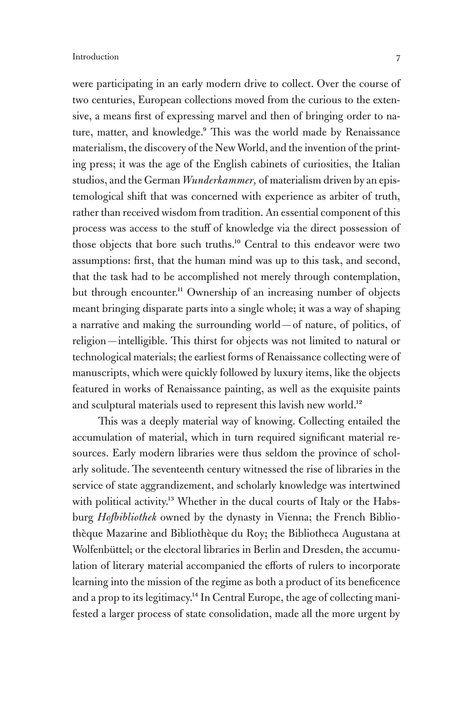were participating in an early modern drive to collect. Over the course of two centuries, European collections moved from the curious to the extensive, a means first of expressing marvel and then of bringing order to nature, matter, and knowledge.<sup>9</sup> This was the world made by Renaissance materialism, the discovery of the New World, and the invention of the printing press; it was the age of the English cabinets of curiosities, the Italian studios, and the German *Wunderkammer,* of materialism driven by an epistemological shift that was concerned with experience as arbiter of truth, rather than received wisdom from tradition. An essential component of this process was access to the stuff of knowledge via the direct possession of those objects that bore such truths.<sup>10</sup> Central to this endeavor were two assumptions: first, that the human mind was up to this task, and second, that the task had to be accomplished not merely through contemplation, but through encounter.<sup>11</sup> Ownership of an increasing number of objects meant bringing disparate parts into a single whole; it was a way of shaping a narrative and making the surrounding world—of nature, of politics, of religion—intelligible. This thirst for objects was not limited to natural or technological materials; the earliest forms of Renaissance collecting were of manuscripts, which were quickly followed by luxury items, like the objects featured in works of Renaissance painting, as well as the exquisite paints and sculptural materials used to represent this lavish new world.<sup>12</sup>

This was a deeply material way of knowing. Collecting entailed the accumulation of material, which in turn required significant material resources. Early modern libraries were thus seldom the province of scholarly solitude. The seventeenth century witnessed the rise of libraries in the service of state aggrandizement, and scholarly knowledge was intertwined with political activity.<sup>13</sup> Whether in the ducal courts of Italy or the Habsburg *Hofbibliothek* owned by the dynasty in Vienna; the French Bibliothèque Mazarine and Bibliothèque du Roy; the Bibliotheca Augustana at Wolfenbüttel; or the electoral libraries in Berlin and Dresden, the accumulation of literary material accompanied the efforts of rulers to incorporate learning into the mission of the regime as both a product of its beneficence and a prop to its legitimacy.<sup>14</sup> In Central Europe, the age of collecting manifested a larger process of state consolidation, made all the more urgent by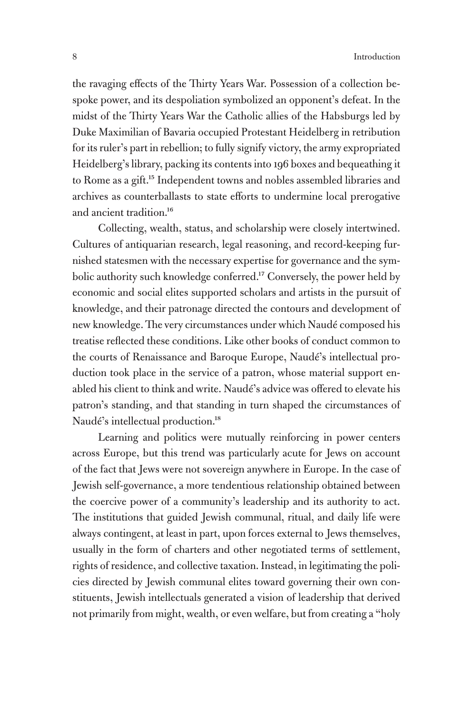the ravaging effects of the Thirty Years War. Possession of a collection bespoke power, and its despoliation symbolized an opponent's defeat. In the midst of the Thirty Years War the Catholic allies of the Habsburgs led by Duke Maximilian of Bavaria occupied Protestant Heidelberg in retribution for its ruler's part in rebellion; to fully signify victory, the army expropriated Heidelberg's library, packing its contents into 196 boxes and bequeathing it to Rome as a gift.15 Independent towns and nobles assembled libraries and archives as counterballasts to state efforts to undermine local prerogative and ancient tradition.<sup>16</sup>

Collecting, wealth, status, and scholarship were closely intertwined. Cultures of antiquarian research, legal reasoning, and record-keeping furnished statesmen with the necessary expertise for governance and the symbolic authority such knowledge conferred.<sup>17</sup> Conversely, the power held by economic and social elites supported scholars and artists in the pursuit of knowledge, and their patronage directed the contours and development of new knowledge. The very circumstances under which Naudé composed his treatise reflected these conditions. Like other books of conduct common to the courts of Renaissance and Baroque Europe, Naudé's intellectual production took place in the service of a patron, whose material support enabled his client to think and write. Naudé's advice was offered to elevate his patron's standing, and that standing in turn shaped the circumstances of Naudé's intellectual production.<sup>18</sup>

Learning and politics were mutually reinforcing in power centers across Europe, but this trend was particularly acute for Jews on account of the fact that Jews were not sovereign anywhere in Europe. In the case of Jewish self-governance, a more tendentious relationship obtained between the coercive power of a community's leadership and its authority to act. The institutions that guided Jewish communal, ritual, and daily life were always contingent, at least in part, upon forces external to Jews themselves, usually in the form of charters and other negotiated terms of settlement, rights of residence, and collective taxation. Instead, in legitimating the policies directed by Jewish communal elites toward governing their own constituents, Jewish intellectuals generated a vision of leadership that derived not primarily from might, wealth, or even welfare, but from creating a "holy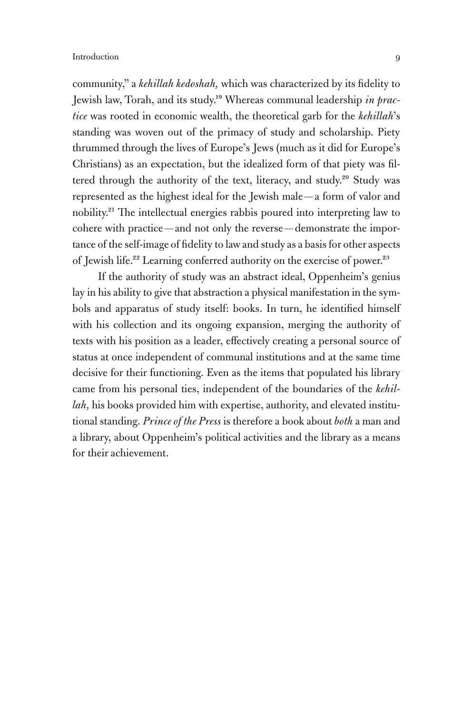community," a *kehillah kedoshah,* which was characterized by its fidelity to Jewish law, Torah, and its study.19 Whereas communal leadership *in practice* was rooted in economic wealth, the theoretical garb for the *kehillah*'s standing was woven out of the primacy of study and scholarship. Piety thrummed through the lives of Europe's Jews (much as it did for Europe's Christians) as an expectation, but the idealized form of that piety was filtered through the authority of the text, literacy, and study.<sup>20</sup> Study was represented as the highest ideal for the Jewish male—a form of valor and nobility.21 The intellectual energies rabbis poured into interpreting law to cohere with practice—and not only the reverse—demonstrate the importance of the self-image of fidelity to law and study as a basis for other aspects of Jewish life.<sup>22</sup> Learning conferred authority on the exercise of power.<sup>23</sup>

If the authority of study was an abstract ideal, Oppenheim's genius lay in his ability to give that abstraction a physical manifestation in the symbols and apparatus of study itself: books. In turn, he identified himself with his collection and its ongoing expansion, merging the authority of texts with his position as a leader, effectively creating a personal source of status at once independent of communal institutions and at the same time decisive for their functioning. Even as the items that populated his library came from his personal ties, independent of the boundaries of the *kehillah,* his books provided him with expertise, authority, and elevated institutional standing. *Prince of the Press* is therefore a book about *both* a man and a library, about Oppenheim's political activities and the library as a means for their achievement.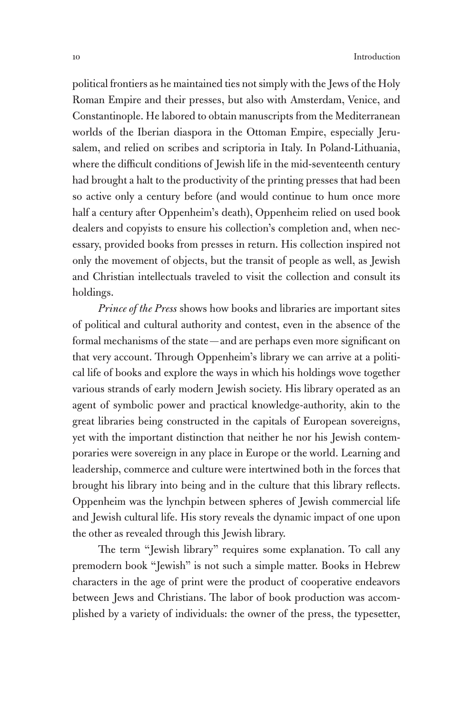political frontiers as he maintained ties not simply with the Jews of the Holy Roman Empire and their presses, but also with Amsterdam, Venice, and Constantinople. He labored to obtain manuscripts from the Mediterranean worlds of the Iberian diaspora in the Ottoman Empire, especially Jerusalem, and relied on scribes and scriptoria in Italy. In Poland-Lithuania, where the difficult conditions of Jewish life in the mid-seventeenth century had brought a halt to the productivity of the printing presses that had been so active only a century before (and would continue to hum once more half a century after Oppenheim's death), Oppenheim relied on used book dealers and copyists to ensure his collection's completion and, when necessary, provided books from presses in return. His collection inspired not only the movement of objects, but the transit of people as well, as Jewish and Christian intellectuals traveled to visit the collection and consult its holdings.

*Prince of the Press* shows how books and libraries are important sites of political and cultural authority and contest, even in the absence of the formal mechanisms of the state—and are perhaps even more significant on that very account. Through Oppenheim's library we can arrive at a political life of books and explore the ways in which his holdings wove together various strands of early modern Jewish society. His library operated as an agent of symbolic power and practical knowledge-authority, akin to the great libraries being constructed in the capitals of European sovereigns, yet with the important distinction that neither he nor his Jewish contemporaries were sovereign in any place in Europe or the world. Learning and leadership, commerce and culture were intertwined both in the forces that brought his library into being and in the culture that this library reflects. Oppenheim was the lynchpin between spheres of Jewish commercial life and Jewish cultural life. His story reveals the dynamic impact of one upon the other as revealed through this Jewish library.

The term "Jewish library" requires some explanation. To call any premodern book "Jewish" is not such a simple matter. Books in Hebrew characters in the age of print were the product of cooperative endeavors between Jews and Christians. The labor of book production was accomplished by a variety of individuals: the owner of the press, the typesetter,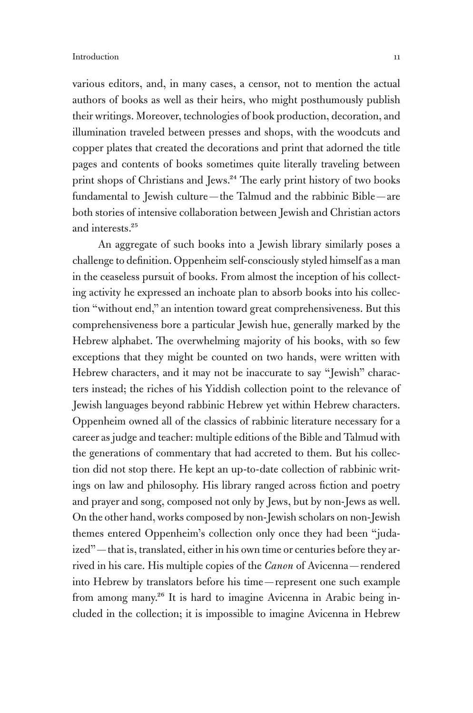## Introduction 11

various editors, and, in many cases, a censor, not to mention the actual authors of books as well as their heirs, who might posthumously publish their writings. Moreover, technologies of book production, decoration, and illumination traveled between presses and shops, with the woodcuts and copper plates that created the decorations and print that adorned the title pages and contents of books sometimes quite literally traveling between print shops of Christians and Jews.<sup>24</sup> The early print history of two books fundamental to Jewish culture—the Talmud and the rabbinic Bible—are both stories of intensive collaboration between Jewish and Christian actors and interests.25

An aggregate of such books into a Jewish library similarly poses a challenge to definition. Oppenheim self-consciously styled himself as a man in the ceaseless pursuit of books. From almost the inception of his collecting activity he expressed an inchoate plan to absorb books into his collection "without end," an intention toward great comprehensiveness. But this comprehensiveness bore a particular Jewish hue, generally marked by the Hebrew alphabet. The overwhelming majority of his books, with so few exceptions that they might be counted on two hands, were written with Hebrew characters, and it may not be inaccurate to say "Jewish" characters instead; the riches of his Yiddish collection point to the relevance of Jewish languages beyond rabbinic Hebrew yet within Hebrew characters. Oppenheim owned all of the classics of rabbinic literature necessary for a career as judge and teacher: multiple editions of the Bible and Talmud with the generations of commentary that had accreted to them. But his collection did not stop there. He kept an up-to-date collection of rabbinic writings on law and philosophy. His library ranged across fiction and poetry and prayer and song, composed not only by Jews, but by non-Jews as well. On the other hand, works composed by non-Jewish scholars on non-Jewish themes entered Oppenheim's collection only once they had been "judaized"—that is, translated, either in his own time or centuries before they arrived in his care. His multiple copies of the *Canon* of Avicenna—rendered into Hebrew by translators before his time—represent one such example from among many.<sup>26</sup> It is hard to imagine Avicenna in Arabic being included in the collection; it is impossible to imagine Avicenna in Hebrew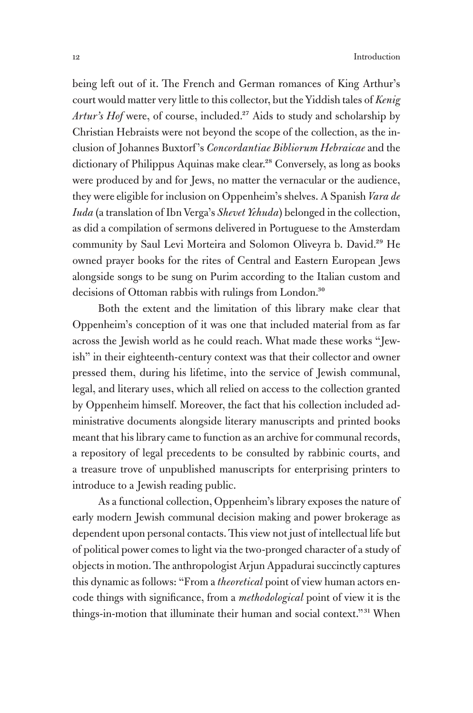being left out of it. The French and German romances of King Arthur's court would matter very little to this collector, but the Yiddish tales of *Kenig*  Artur's Hof were, of course, included.<sup>27</sup> Aids to study and scholarship by Christian Hebraists were not beyond the scope of the collection, as the inclusion of Johannes Buxtorf 's *Concordantiae Bibliorum Hebraicae* and the dictionary of Philippus Aquinas make clear.<sup>28</sup> Conversely, as long as books were produced by and for Jews, no matter the vernacular or the audience, they were eligible for inclusion on Oppenheim's shelves. A Spanish *Vara de Iuda* (a translation of Ibn Verga's *Shevet Yehuda*) belonged in the collection, as did a compilation of sermons delivered in Portuguese to the Amsterdam community by Saul Levi Morteira and Solomon Oliveyra b. David.<sup>29</sup> He owned prayer books for the rites of Central and Eastern European Jews alongside songs to be sung on Purim according to the Italian custom and decisions of Ottoman rabbis with rulings from London.<sup>30</sup>

Both the extent and the limitation of this library make clear that Oppenheim's conception of it was one that included material from as far across the Jewish world as he could reach. What made these works "Jewish" in their eighteenth-century context was that their collector and owner pressed them, during his lifetime, into the service of Jewish communal, legal, and literary uses, which all relied on access to the collection granted by Oppenheim himself. Moreover, the fact that his collection included administrative documents alongside literary manuscripts and printed books meant that his library came to function as an archive for communal records, a repository of legal precedents to be consulted by rabbinic courts, and a treasure trove of unpublished manuscripts for enterprising printers to introduce to a Jewish reading public.

As a functional collection, Oppenheim's library exposes the nature of early modern Jewish communal decision making and power brokerage as dependent upon personal contacts. This view not just of intellectual life but of political power comes to light via the two-pronged character of a study of objects in motion. The anthropologist Arjun Appadurai succinctly captures this dynamic as follows: "From a *theoretical* point of view human actors encode things with significance, from a *methodological* point of view it is the things-in-motion that illuminate their human and social context."31 When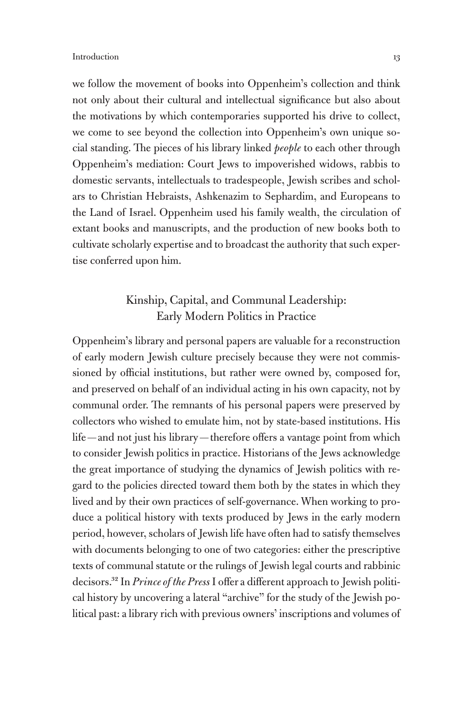we follow the movement of books into Oppenheim's collection and think not only about their cultural and intellectual significance but also about the motivations by which contemporaries supported his drive to collect, we come to see beyond the collection into Oppenheim's own unique social standing. The pieces of his library linked *people* to each other through Oppenheim's mediation: Court Jews to impoverished widows, rabbis to domestic servants, intellectuals to tradespeople, Jewish scribes and scholars to Christian Hebraists, Ashkenazim to Sephardim, and Europeans to the Land of Israel. Oppenheim used his family wealth, the circulation of extant books and manuscripts, and the production of new books both to cultivate scholarly expertise and to broadcast the authority that such expertise conferred upon him.

## Kinship, Capital, and Communal Leadership: Early Modern Politics in Practice

Oppenheim's library and personal papers are valuable for a reconstruction of early modern Jewish culture precisely because they were not commissioned by official institutions, but rather were owned by, composed for, and preserved on behalf of an individual acting in his own capacity, not by communal order. The remnants of his personal papers were preserved by collectors who wished to emulate him, not by state-based institutions. His life—and not just his library—therefore offers a vantage point from which to consider Jewish politics in practice. Historians of the Jews acknowledge the great importance of studying the dynamics of Jewish politics with regard to the policies directed toward them both by the states in which they lived and by their own practices of self-governance. When working to produce a political history with texts produced by Jews in the early modern period, however, scholars of Jewish life have often had to satisfy themselves with documents belonging to one of two categories: either the prescriptive texts of communal statute or the rulings of Jewish legal courts and rabbinic decisors.32 In *Prince of the Press* I offer a different approach to Jewish political history by uncovering a lateral "archive" for the study of the Jewish political past: a library rich with previous owners' inscriptions and volumes of